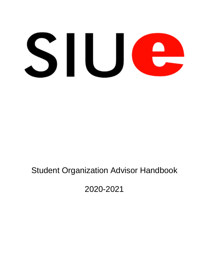

# Student Organization Advisor Handbook

2020-2021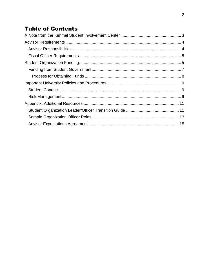## **Table of Contents**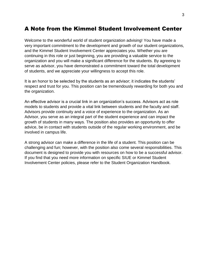## <span id="page-2-0"></span>A Note from the Kimmel Student Involvement Center

Welcome to the wonderful world of student organization advising! You have made a very important commitment to the development and growth of our student organizations, and the Kimmel Student Involvement Center appreciates you. Whether you are continuing in this role or just beginning, you are providing a valuable service to the organization and you will make a significant difference for the students. By agreeing to serve as advisor, you have demonstrated a commitment toward the total development of students, and we appreciate your willingness to accept this role.

It is an honor to be selected by the students as an advisor; it indicates the students' respect and trust for you. This position can be tremendously rewarding for both you and the organization.

An effective advisor is a crucial link in an organization's success. Advisors act as role models to students and provide a vital link between students and the faculty and staff. Advisors provide continuity and a voice of experience to the organization. As an Advisor, you serve as an integral part of the student experience and can impact the growth of students in many ways. The position also provides an opportunity to offer advice, be in contact with students outside of the regular working environment, and be involved in campus life.

A strong advisor can make a difference in the life of a student. This position can be challenging and fun; however, with the position also come several responsibilities. This document is designed to provide you with resources on how to be a successful advisor. If you find that you need more information on specific SIUE or Kimmel Student Involvement Center policies, please refer to the Student Organization Handbook.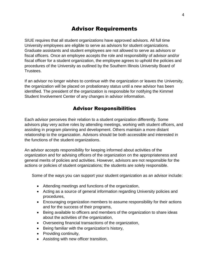## Advisor Requirements

<span id="page-3-0"></span>SIUE requires that all student organizations have approved advisors. All full time University employees are eligible to serve as advisors for student organizations. Graduate assistants and student employees are not allowed to serve as advisors or fiscal officers. Once an employee accepts the role and responsibility of advisor and/or fiscal officer for a student organization, the employee agrees to uphold the policies and procedures of the University as outlined by the Southern Illinois University Board of Trustees.

If an advisor no longer wishes to continue with the organization or leaves the University, the organization will be placed on probationary status until a new advisor has been identified. The president of the organization is responsible for notifying the Kimmel Student Involvement Center of any changes in advisor information.

### Advisor Responsibilities

<span id="page-3-1"></span>Each advisor perceives their relation to a student organization differently. Some advisors play very active roles by attending meetings, working with student officers, and assisting in program planning and development. Others maintain a more distant relationship to the organization. Advisors should be both accessible and interested in the functions of the student organizations.

An advisor accepts responsibility for keeping informed about activities of the organization and for advising officers of the organization on the appropriateness and general merits of policies and activities. However, advisors are not responsible for the actions or policies of student organizations; the students are solely responsible.

Some of the ways you can support your student organization as an advisor include:

- Attending meetings and functions of the organization,
- Acting as a source of general information regarding University policies and procedures,
- Encouraging organization members to assume responsibility for their actions and for the success of their programs,
- Being available to officers and members of the organization to share ideas about the activities of the organization,
- Overseeing financial transactions of the organization,
- Being familiar with the organization's history,
- Providing continuity,
- Assisting with new officer transition,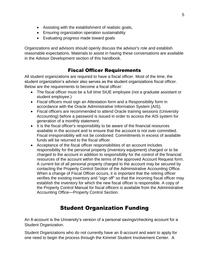- Assisting with the establishment of realistic goals,
- Ensuring organization operation sustainability
- Evaluating progress made toward goals

Organizations and advisors should openly discuss the advisor's role and establish reasonable expectations. Materials to assist in having these conversations are available in the Advisor Development section of this handbook.

## Fiscal Officer Requirements

<span id="page-4-0"></span>All student organizations are required to have a fiscal officer. Most of the time, the student organization's advisor also serves as the student organizations fiscal officer. Below are the requirements to become a fiscal officer:

- The fiscal officer must be a full time SIUE employee (not a graduate assistant or student employee.)
- Fiscal officers must sign an Attestation form and a Responsibility form in accordance with the Oracle Administrative Information System (AIS).
- Fiscal officers are recommended to attend Oracle training sessions (University Accounting) before a password is issued in order to access the AIS system for generation of a monthly statement.
- It is the fiscal officer's responsibility to be aware of the financial resources available in the account and to ensure that the account is not over committed. Fiscal irresponsibility will not be condoned. Commitments in excess of available funds will be returned to the fiscal officer.
- Acceptance of the fiscal officer responsibilities of an account includes responsibility for the personal property (inventory equipment) charged or to be charged to the account in addition to responsibility for the control of the financial resources of the account within the terms of the approved Account Request form. A current list of all personal property charged to the account may be secured by contacting the Property Control Section of the Administrative Accounting Office. When a change of Fiscal Officer occurs, it is important that the retiring officer verifies the existing inventory and "sign off" so that the incoming fiscal officer may establish the inventory for which the new fiscal officer is responsible. A copy of the Property Control Manual for fiscal officers is available from the Administrative Accounting Office—Property Control Section.

## Student Organization Funding

<span id="page-4-1"></span>An 8-account is the University's version of a personal savings/checking account for a Student Organization.

Student Organizations who do not currently have an 8-account and want to apply for one need to begin the process through the Kimmel Student Involvement Center. A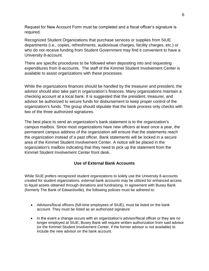Request for New Account Form must be completed and a fiscal officer's signature is required.

Recognized Student Organizations that purchase services or supplies from SIUE departments (i.e., copies, refreshments, audiovisual charges, facility charges, etc.) or who do not receive funding from Student Government may find it convenient to have a University 8-account.

There are specific procedures to be followed when depositing into and requesting expenditures from 8-accounts. The staff of the Kimmel Student Involvement Center is available to assist organizations with these processes.

While the organizations finances should be handled by the treasurer and president, the advisor should also take part in organization's finances. Many organizations maintain a checking account at a local bank. It is suggested that the president, treasurer, and advisor be authorized to secure funds for disbursement to keep proper control of the organization's funds. The group should stipulate that the bank process only checks with two of the three authorized signatures.

The best place to send an organization's bank statement is to the organization's campus mailbox. Since most organizations have new officers at least once a year, the permanent campus address of the organization will ensure that the statements reach the organization instead of a past officer. Bank statements will be locked in a secure area of the Kimmel Student Involvement Center. A notice will be placed in the organization's mailbox indicating that they need to pick up the statement from the Kimmel Student Involvement Center front desk.

#### **Use of External Bank Accounts**

While SIUE prefers recognized student organizations to solely use the University 8-accounts created for student organizations, external bank accounts may be utilized for enhanced access to liquid assets obtained through donations and fundraising. In agreement with Busey Bank (formerly The Bank of Edwardsville), the following policies must be adhered to:

- Advisors/fiscal officers (full-time employees of SIUE), must be listed on the bank account. They must be listed as an authorized signature
- In the event a change occurs with an organization's advisor/fiscal officer or they are no longer employed at SIUE, Busey Bank will require written authorization from said advisor (or the Kimmel Student Involvement Center, if the former advisor is not available) to include the new advisor on the bank account.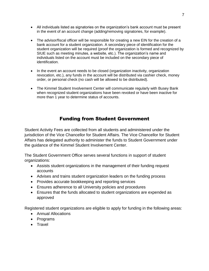- All individuals listed as signatories on the organization's bank account must be present in the event of an account change (adding/removing signatories, for example).
- The advisor/fiscal officer will be responsible for creating a new EIN for the creation of a bank account for a student organization. A secondary piece of identification for the student organization will be required (proof the organization is formed and recognized by SIUE such as meeting minutes, a website, etc.). The organization's name and individuals listed on the account must be included on the secondary piece of identification.
- In the event an account needs to be closed (organization inactivity, organization revocation, etc.), any funds in the account will be distributed via cashier check, money order, or personal check (no cash will be allowed to be distributed).
- The Kimmel Student Involvement Center will communicate regularly with Busey Bank when recognized student organizations have been revoked or have been inactive for more than 1 year to determine status of accounts.

## <span id="page-6-0"></span>Funding from Student Government

Student Activity Fees are collected from all students and administered under the jurisdiction of the Vice Chancellor for Student Affairs. The Vice Chancellor for Student Affairs has delegated authority to administer the funds to Student Government under the guidance of the Kimmel Student Involvement Center.

The Student Government Office serves several functions in support of student organizations:

- Assists student organizations in the management of their funding request accounts
- Advises and trains student organization leaders on the funding process
- Provides accurate bookkeeping and reporting services
- Ensures adherence to all University policies and procedures
- Ensures that the funds allocated to student organizations are expended as approved

Registered student organizations are eligible to apply for funding in the following areas:

- Annual Allocations
- Programs
- Travel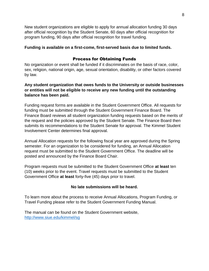New student organizations are eligible to apply for annual allocation funding 30 days after official recognition by the Student Senate, 60 days after official recognition for program funding, 90 days after official recognition for travel funding.

#### **Funding is available on a first-come, first-served basis due to limited funds.**

#### Process for Obtaining Funds

<span id="page-7-0"></span>No organization or event shall be funded if it discriminates on the basis of race, color, sex, religion, national origin, age, sexual orientation, disability, or other factors covered by law.

#### **Any student organization that owes funds to the University or outside businesses or entities will not be eligible to receive any new funding until the outstanding balance has been paid.**

Funding request forms are available in the Student Government Office. All requests for funding must be submitted through the Student Government Finance Board. The Finance Board reviews all student organization funding requests based on the merits of the request and the policies approved by the Student Senate. The Finance Board then submits its recommendations to the Student Senate for approval. The Kimmel Student Involvement Center determines final approval.

Annual Allocation requests for the following fiscal year are approved during the Spring semester. For an organization to be considered for funding, an Annual Allocation request must be submitted to the Student Government Office. The deadline will be posted and announced by the Finance Board Chair.

Program requests must be submitted to the Student Government Office **at least** ten (10) weeks prior to the event. Travel requests must be submitted to the Student Government Office **at least** forty-five (45) days prior to travel.

#### **No late submissions will be heard.**

To learn more about the process to receive Annual Allocations, Program Funding, or Travel Funding please refer to the Student Government Funding Manual.

The manual can be found on the Student Government website, <http://www.siue.edu/kimmel/sg>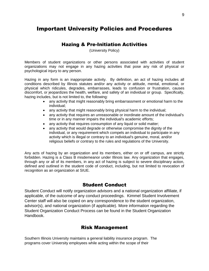## <span id="page-8-1"></span><span id="page-8-0"></span>Important University Policies and Procedures

#### Hazing & Pre-Initiation Activities

(University Policy)

Members of student organizations or other persons associated with activities of student organizations may not engage in any hazing activities that pose any risk of physical or psychological injury to any person.

Hazing in any form is an inappropriate activity. By definition, an act of hazing includes all conditions described by Illinois statutes and/or any activity or attitude, mental, emotional, or physical which ridicules, degrades, embarrasses, leads to confusion or frustration, causes discomfort, or jeopardizes the health, welfare, and safety of an individual or group. Specifically, hazing includes, but is not limited to, the following:

- any activity that might reasonably bring embarrassment or emotional harm to the individual;
- any activity that might reasonably bring physical harm to the individual;
- any activity that requires an unreasonable or inordinate amount of the individual's time or in any manner impairs the individual's academic efforts;
- any activity that requires consumption of any liquid or solid matter;
- any activity that would degrade or otherwise compromise the dignity of the individual, or any requirement which compels an individual to participate in any activity which is illegal or contrary to an individual's genuine, moral, and/or religious beliefs or contrary to the rules and regulations of the University.

Any acts of hazing by an organization and its members, either on or off campus, are strictly forbidden. Hazing is a Class B misdemeanor under Illinois law. Any organization that engages, through any or all of its members, in any act of hazing is subject to severe disciplinary action, defined and outlined in the student code of conduct, including, but not limited to revocation of recognition as an organization at SIUE.

#### Student Conduct

Student Conduct will notify organization advisors and a national organization affiliate, if applicable, of the outcome of any conduct proceedings. Kimmel Student Involvement Center staff will also be copied on any correspondence to the student organization, advisor(s), and national organization (if applicable). More information regarding the Student Organization Conduct Process can be found in the Student Organization Handbook.

#### Risk Management

<span id="page-8-2"></span>Southern Illinois University maintains a general liability insurance program. The programs cover University employees while acting within the scope of their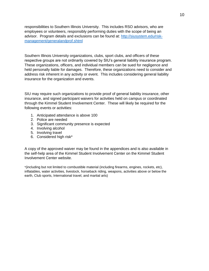responsibilities to Southern Illinois University. This includes RSO advisors, who are employees or volunteers, responsibly performing duties with the scope of being an advisor. Program details and exclusions can be found at: [http://siusystem.edu/risk](http://siusystem.edu/risk-management/generalandprof.shtml)[management/generalandprof.shtml](http://siusystem.edu/risk-management/generalandprof.shtml)

Southern Illinois University organizations, clubs, sport clubs, and officers of these respective groups are not ordinarily covered by SIU's general liability insurance program. These organizations, officers, and individual members can be sued for negligence and held personally liable for damages. Therefore, these organizations need to consider and address risk inherent in any activity or event. This includes considering general liability insurance for the organization and events.

SIU may require such organizations to provide proof of general liability insurance, other insurance, and signed participant waivers for activities held on campus or coordinated through the Kimmel Student Involvement Center. These will likely be required for the following events or activities:

- 1. Anticipated attendance is above 100
- 2. Police are needed
- 3. Significant community presence is expected
- 4. Involving alcohol
- 5. Involving travel
- 6. Considered high risk\*

A copy of the approved waiver may be found in the appendices and is also available in the self-help area of the Kimmel Student Involvement Center on the Kimmel Student Involvement Center website.

\*(including but not limited to combustible material (including firearms, engines, rockets, etc), inflatables, water activities, livestock, horseback riding, weapons, activities above or below the earth, Club sports, International travel, and martial arts)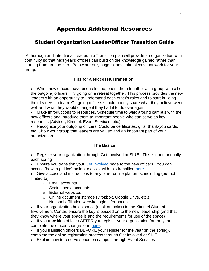## Appendix: Additional Resources

## <span id="page-10-1"></span><span id="page-10-0"></span>Student Organization Leader/Officer Transition Guide

A thorough and intentional Leadership Transition plan will provide an organization with continuity so that next year's officers can build on the knowledge gained rather than starting from ground zero. Below are only suggestions, take pieces that work for your group.

#### **Tips for a successful transition**

 When new officers have been elected, orient them together as a group with all of the outgoing officers. Try going on a retreat together. This process provides the new leaders with an opportunity to understand each other's roles and to start building their leadership team. Outgoing officers should openly share what they believe went well and what they would change if they had it to do over again.

 Make introductions to resources. Schedule time to walk around campus with the new officers and introduce them to important people who can serve as key resources (Advisor, Kimmel, Event Services, etc.).

 Recognize your outgoing officers. Could be certificates, gifts, thank-you cards, etc. Show your group that leaders are valued and an important part of your organization.

#### **The Basics**

 Register your organization through Get Involved at SIUE. This is done annually each spring

• Ensure you transition your [Get Involved](https://getinvolved.siue.edu/) page to the new officers. You can access "how to guides" online to assist with this transition [here.](http://www.siue.edu/kimmel/organizations/getinvolved.shtml)

 Give access and instructions to any other online platforms, including (but not limited to):

- $\circ$  Email accounts
- o Social media accounts
- o External websites
- o Online document storage (Dropbox, Google Drive, etc.)
- o National affiliation website login information

 If your organization holds space (desk or locker) in the Kimmel Student Involvement Center, ensure the key is passed on to the new leadership (and that they know where your space is and the requirements for use of the space)

 If you transition officers AFTER you register your organization for the year, complete the officer change form [here.](https://siue.campuslabs.com/engage/submitter/form/step/1?Guid=90d087b3-f356-4b01-8fa7-6f5463dc27d1)

 If you transition officers BEFORE your register for the year (in the spring), complete the online registration process through Get Involved at SIUE

Explain how to reserve space on campus through Event Services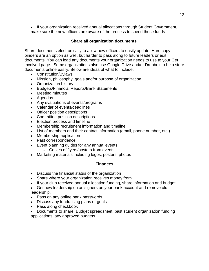• If your organization received annual allocations through Student Government, make sure the new officers are aware of the process to spend those funds

#### **Share all organization documents**

Share documents electronically to allow new officers to easily update. Hard copy binders are an option as well, but harder to pass along to future leaders or edit documents. You can load any documents your organization needs to use to your Get Involved page. Some organizations also use Google Drive and/or Dropbox to help store documents online easily. Below are ideas of what to include:

- Constitution/Bylaws
- Mission, philosophy, goals and/or purpose of organization
- Organization history
- Budgets/Financial Reports/Bank Statements
- Meeting minutes
- Agendas
- Any evaluations of events/programs
- Calendar of events/deadlines
- Officer position descriptions
- Committee position descriptions
- Election process and timeline
- Membership recruitment information and timeline
- List of members and their contact information (email, phone number, etc.)
- Membership application
- Past correspondence
- Event planning guides for any annual events
	- o Copies of flyers/posters from events
- Marketing materials including logos, posters, photos

#### **Finances**

- Discuss the financial status of the organization
- Share where your organization receives money from
- If your club received annual allocation funding, share information and budget
- Get new leadership on as signers on your bank account and remove old leadership.
- Pass on any online bank passwords.
- Discuss any fundraising plans or goals
- Pass along checkbook
- Documents to share: Budget spreadsheet, past student organization funding applications, any approved budgets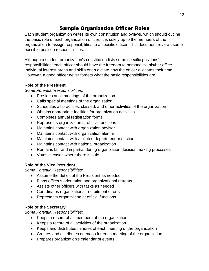## Sample Organization Officer Roles

<span id="page-12-0"></span>Each student organization writes its own constitution and bylaws, which should outline the basic role of each organization officer. It is solely up to the members of the organization to assign responsibilities to a specific officer. This document reviews some possible position responsibilities.

Although a student organization's constitution lists some specific positions' responsibilities, each officer should have the freedom to personalize his/her office. Individual interest areas and skills often dictate how the officer allocates their time. However, a good officer never forgets what the basic responsibilities are.

#### **Role of the President**

*Some Potential Responsibilities:*

- Presides at all meetings of the organization
- Calls special meetings of the organization
- Schedules all practices, classed, and other activities of the organization
- Obtains appropriate facilities for organization activities
- Completes annual registration forms
- Represents organization at official functions
- Maintains contact with organization advisor
- Maintains contact with organization alumni
- Maintains contact with affiliated department or section
- Maintains contact with national organization
- Remains fair and impartial during organization decision making processes
- Votes in cases where there is a tie

#### **Role of the Vice President**

*Some Potential Responsibilities:*

- Assume the duties of the President as needed
- Plans officer's orientation and organizational retreats
- Assists other officers with tasks as needed
- Coordinates organizational recruitment efforts
- Represents organization at official functions

### **Role of the Secretary**

*Some Potential Responsibilities:*

- Keeps a record of all members of the organization
- Keeps a record of all activities of the organization
- Keeps and distributes minutes of each meeting of the organization
- Creates and distributes agendas for each meeting of the organization
- Prepares organization's calendar of events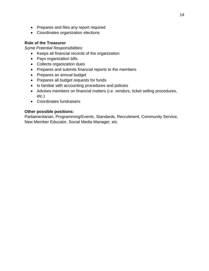- Prepares and files any report required
- Coordinates organization elections

#### **Role of the Treasurer**

*Some Potential Responsibilities:*

- Keeps all financial records of the organization
- Pays organization bills
- Collects organization dues
- Prepares and submits financial reports to the members
- Prepares an annual budget
- Prepares all budget requests for funds
- Is familiar with accounting procedures and policies
- Advises members on financial matters (i.e. vendors, ticket selling procedures, etc.)
- Coordinates fundraisers

#### **Other possible positions:**

Parliamentarian, Programming/Events, Standards, Recruitment, Community Service, New Member Educator, Social Media Manager, etc.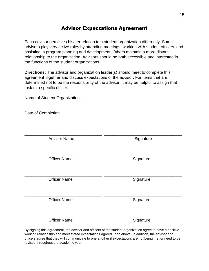## Advisor Expectations Agreement

<span id="page-14-0"></span>Each advisor perceives his/her relation to a student organization differently. Some advisors play very active roles by attending meetings, working with student officers, and assisting in program planning and development. Others maintain a more distant relationship to the organization. Advisors should be both accessible and interested in the functions of the student organizations.

**Directions:** The advisor and organization leader(s) should meet to complete this agreement together and discuss expectations of the advisor. For items that are determined not to be the responsibility of the advisor, it may be helpful to assign that task to a specific officer.

| <b>Advisor Name</b> | Signature |
|---------------------|-----------|
|                     |           |
| <b>Officer Name</b> | Signature |
| <b>Officer Name</b> | Signature |
| <b>Officer Name</b> | Signature |
| <b>Officer Name</b> | Signature |

By signing this agreement, the advisor and officers of the student organization agree to have a positive working relationship and meet stated expectations agreed upon above. In addition, the advisor and officers agree that they will communicate to one another if expectations are not being met or need to be revised throughout the academic year.